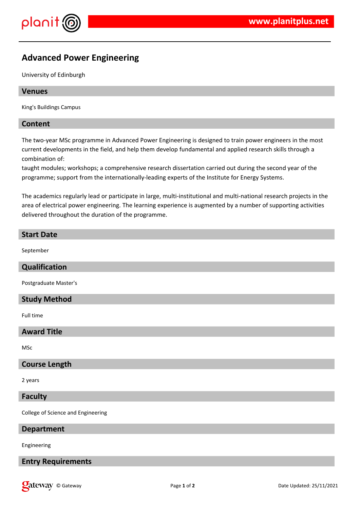

# **Advanced Power Engineering**

University of Edinburgh

### **Venues**

King's Buildings Campus

### **Content**

The two-year MSc programme in Advanced Power Engineering is designed to train power engineers in the most current developments in the field, and help them develop fundamental and applied research skills through a combination of:

taught modules; workshops; a comprehensive research dissertation carried out during the second year of the programme; support from the internationally-leading experts of the Institute for Energy Systems.

The academics regularly lead or participate in large, multi-institutional and multi-national research projects in the area of electrical power engineering. The learning experience is augmented by a number of supporting activities delivered throughout the duration of the programme.

## **Start Date**

September

### **Qualification**

Postgraduate Master's

### **Study Method**

Full time

### **Award Title**

MSc

### **Course Length**

2 years

#### **Faculty**

College of Science and Engineering

### **Department**

Engineering

### **Entry Requirements**

**Call 2008 Page 1** of **2 Date Updated: 25/11/2021 Page 1** of **2 Date Updated: 25/11/2021**